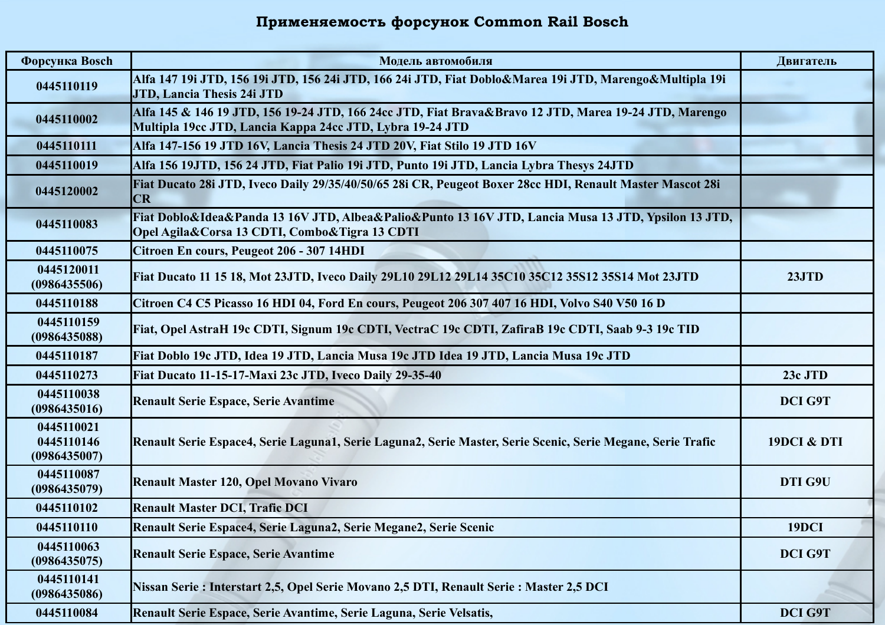## **Применяемость форсунок Common Rail Bosch**

| Форсунка Bosch                           | Модель автомобиля                                                                                                                                                  | Двигатель              |
|------------------------------------------|--------------------------------------------------------------------------------------------------------------------------------------------------------------------|------------------------|
| 0445110119                               | Alfa 147 19i JTD, 156 19i JTD, 156 24i JTD, 166 24i JTD, Fiat Doblo&Marea 19i JTD, Marengo&Multipla 19i<br>JTD, Lancia Thesis 24i JTD                              |                        |
| 0445110002                               | Alfa 145 & 146 19 JTD, 156 19-24 JTD, 166 24cc JTD, Fiat Brava&Bravo 12 JTD, Marea 19-24 JTD, Marengo<br>Multipla 19cc JTD, Lancia Kappa 24cc JTD, Lybra 19-24 JTD |                        |
| 0445110111                               | Alfa 147-156 19 JTD 16V, Lancia Thesis 24 JTD 20V, Fiat Stilo 19 JTD 16V                                                                                           |                        |
| 0445110019                               | Alfa 156 19JTD, 156 24 JTD, Fiat Palio 19i JTD, Punto 19i JTD, Lancia Lybra Thesys 24JTD                                                                           |                        |
| 0445120002                               | Fiat Ducato 28i JTD, Iveco Daily 29/35/40/50/65 28i CR, Peugeot Boxer 28cc HDI, Renault Master Mascot 28i<br>CR                                                    |                        |
| 0445110083                               | Fiat Doblo&Idea&Panda 13 16V JTD, Albea&Palio&Punto 13 16V JTD, Lancia Musa 13 JTD, Ypsilon 13 JTD,<br>Opel Agila&Corsa 13 CDTI, Combo&Tigra 13 CDTI               |                        |
| 0445110075                               | Citroen En cours, Peugeot 206 - 307 14HDI                                                                                                                          |                        |
| 0445120011<br>(0986435506)               | Fiat Ducato 11 15 18, Mot 23JTD, Iveco Daily 29L10 29L12 29L14 35C10 35C12 35S12 35S14 Mot 23JTD                                                                   | 23JTD                  |
| 0445110188                               | Citroen C4 C5 Picasso 16 HDI 04, Ford En cours, Peugeot 206 307 407 16 HDI, Volvo S40 V50 16 D                                                                     |                        |
| 0445110159<br>(0986435088)               | Fiat, Opel AstraH 19c CDTI, Signum 19c CDTI, VectraC 19c CDTI, ZafiraB 19c CDTI, Saab 9-3 19c TID                                                                  |                        |
| 0445110187                               | Fiat Doblo 19c JTD, Idea 19 JTD, Lancia Musa 19c JTD Idea 19 JTD, Lancia Musa 19c JTD                                                                              |                        |
| 0445110273                               | Fiat Ducato 11-15-17-Maxi 23c JTD, Iveco Daily 29-35-40                                                                                                            | 23c JTD                |
| 0445110038<br>(0986435016)               | <b>Renault Serie Espace, Serie Avantime</b>                                                                                                                        | <b>DCI G9T</b>         |
| 0445110021<br>0445110146<br>(0986435007) | Renault Serie Espace4, Serie Laguna1, Serie Laguna2, Serie Master, Serie Scenic, Serie Megane, Serie Trafic                                                        | <b>19DCI &amp; DTI</b> |
| 0445110087<br>(0986435079)               | <b>Renault Master 120, Opel Movano Vivaro</b>                                                                                                                      | DTI G9U                |
| 0445110102                               | <b>Renault Master DCI, Trafic DCI</b>                                                                                                                              |                        |
| 0445110110                               | Renault Serie Espace4, Serie Laguna2, Serie Megane2, Serie Scenic                                                                                                  | <b>19DCI</b>           |
| 0445110063<br>(0986435075)               | <b>Renault Serie Espace, Serie Avantime</b>                                                                                                                        | <b>DCI G9T</b>         |
| 0445110141<br>(0986435086)               | Nissan Serie: Interstart 2,5, Opel Serie Movano 2,5 DTI, Renault Serie: Master 2,5 DCI                                                                             |                        |
| 0445110084                               | Renault Serie Espace, Serie Avantime, Serie Laguna, Serie Velsatis,                                                                                                | DCI G9T                |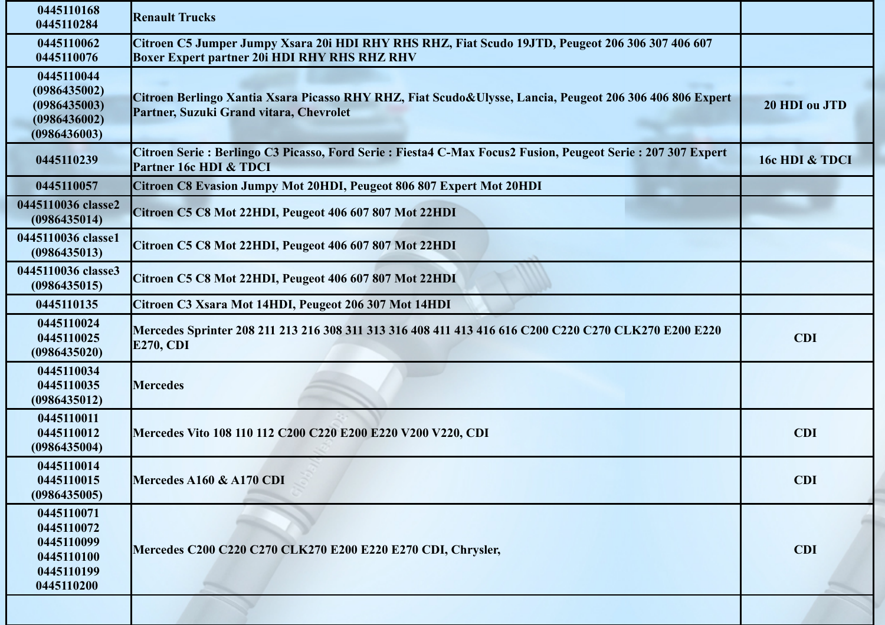| 0445110168<br>0445110284                                                         | <b>Renault Trucks</b>                                                                                                                                   |                |
|----------------------------------------------------------------------------------|---------------------------------------------------------------------------------------------------------------------------------------------------------|----------------|
| 0445110062<br>0445110076                                                         | Citroen C5 Jumper Jumpy Xsara 20i HDI RHY RHS RHZ, Fiat Scudo 19JTD, Peugeot 206 306 307 406 607<br><b>Boxer Expert partner 20i HDI RHY RHS RHZ RHV</b> |                |
| 0445110044<br>(0986435002)<br>(0986435003)<br>(0986436002)<br>(0986436003)       | Citroen Berlingo Xantia Xsara Picasso RHY RHZ, Fiat Scudo&Ulysse, Lancia, Peugeot 206 306 406 806 Expert<br>Partner, Suzuki Grand vitara, Chevrolet     | 20 HDI ou JTD  |
| 0445110239                                                                       | Citroen Serie : Berlingo C3 Picasso, Ford Serie : Fiesta4 C-Max Focus2 Fusion, Peugeot Serie : 207 307 Expert<br><b>Partner 16c HDI &amp; TDCI</b>      | 16c HDI & TDCI |
| 0445110057                                                                       | Citroen C8 Evasion Jumpy Mot 20HDI, Peugeot 806 807 Expert Mot 20HDI                                                                                    |                |
| 0445110036 classe2<br>(0986435014)                                               | Citroen C5 C8 Mot 22HDI, Peugeot 406 607 807 Mot 22HDI                                                                                                  |                |
| 0445110036 classe1<br>(0986435013)                                               | Citroen C5 C8 Mot 22HDI, Peugeot 406 607 807 Mot 22HDI                                                                                                  |                |
| 0445110036 classe3<br>(0986435015)                                               | Citroen C5 C8 Mot 22HDI, Peugeot 406 607 807 Mot 22HDI                                                                                                  |                |
| 0445110135                                                                       | Citroen C3 Xsara Mot 14HDI, Peugeot 206 307 Mot 14HDI                                                                                                   |                |
| 0445110024<br>0445110025<br>(0986435020)                                         | Mercedes Sprinter 208 211 213 216 308 311 313 316 408 411 413 416 616 C200 C220 C270 CLK270 E200 E220<br><b>E270, CDI</b>                               | <b>CDI</b>     |
| 0445110034<br>0445110035<br>(0986435012)                                         | <b>Mercedes</b>                                                                                                                                         |                |
| 0445110011<br>0445110012<br>(0986435004)                                         | Mercedes Vito 108 110 112 C200 C220 E200 E220 V200 V220, CDI                                                                                            | <b>CDI</b>     |
| 0445110014<br>0445110015<br>(0986435005)                                         | Mercedes A160 & A170 CDI                                                                                                                                | <b>CDI</b>     |
| 0445110071<br>0445110072<br>0445110099<br>0445110100<br>0445110199<br>0445110200 | Mercedes C200 C220 C270 CLK270 E200 E220 E270 CDI, Chrysler,                                                                                            | <b>CDI</b>     |
|                                                                                  |                                                                                                                                                         |                |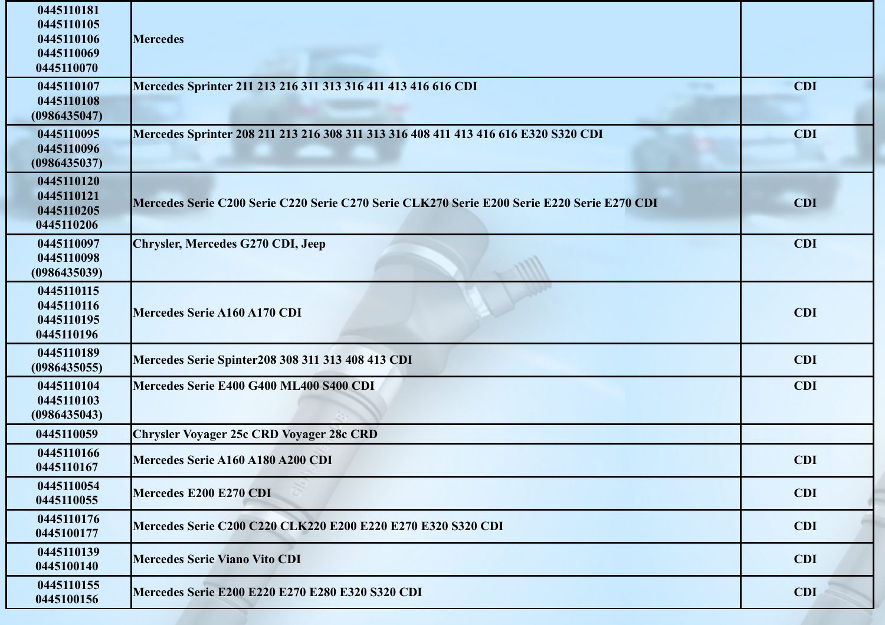| 0445110181<br>0445110105<br>0445110106<br>0445110069<br>0445110070 | <b>Mercedes</b>                                                                             |            |
|--------------------------------------------------------------------|---------------------------------------------------------------------------------------------|------------|
| 0445110107<br>0445110108                                           | Mercedes Sprinter 211 213 216 311 313 316 411 413 416 616 CDI                               | <b>CDI</b> |
| (0986435047)                                                       |                                                                                             |            |
| 0445110095<br>0445110096<br>(0986435037)                           | Mercedes Sprinter 208 211 213 216 308 311 313 316 408 411 413 416 616 E320 S320 CDI         | <b>CDI</b> |
| 0445110120<br>0445110121<br>0445110205<br>0445110206               | Mercedes Serie C200 Serie C220 Serie C270 Serie CLK270 Serie E200 Serie E220 Serie E270 CDI | <b>CDI</b> |
| 0445110097<br>0445110098<br>(0986435039)                           | Chrysler, Mercedes G270 CDI, Jeep                                                           | <b>CDI</b> |
| 0445110115<br>0445110116<br>0445110195<br>0445110196               | Mercedes Serie A160 A170 CDI                                                                | <b>CDI</b> |
| 0445110189<br>(0986435055)                                         | Mercedes Serie Spinter208 308 311 313 408 413 CDI                                           | <b>CDI</b> |
| 0445110104<br>0445110103<br>(0986435043)                           | Mercedes Serie E400 G400 ML400 S400 CDI                                                     | <b>CDI</b> |
| 0445110059                                                         | Chrysler Voyager 25c CRD Voyager 28c CRD                                                    |            |
| 0445110166<br>0445110167                                           | Mercedes Serie A160 A180 A200 CDI                                                           | <b>CDI</b> |
| 0445110054<br>0445110055                                           | Mercedes E200 E270 CDI                                                                      | <b>CDI</b> |
| 0445110176<br>0445100177                                           | Mercedes Serie C200 C220 CLK220 E200 E220 E270 E320 S320 CDI                                | <b>CDI</b> |
| 0445110139<br>0445100140                                           | <b>Mercedes Serie Viano Vito CDI</b>                                                        | <b>CDI</b> |
| 0445110155<br>0445100156                                           | Mercedes Serie E200 E220 E270 E280 E320 S320 CDI                                            | <b>CDI</b> |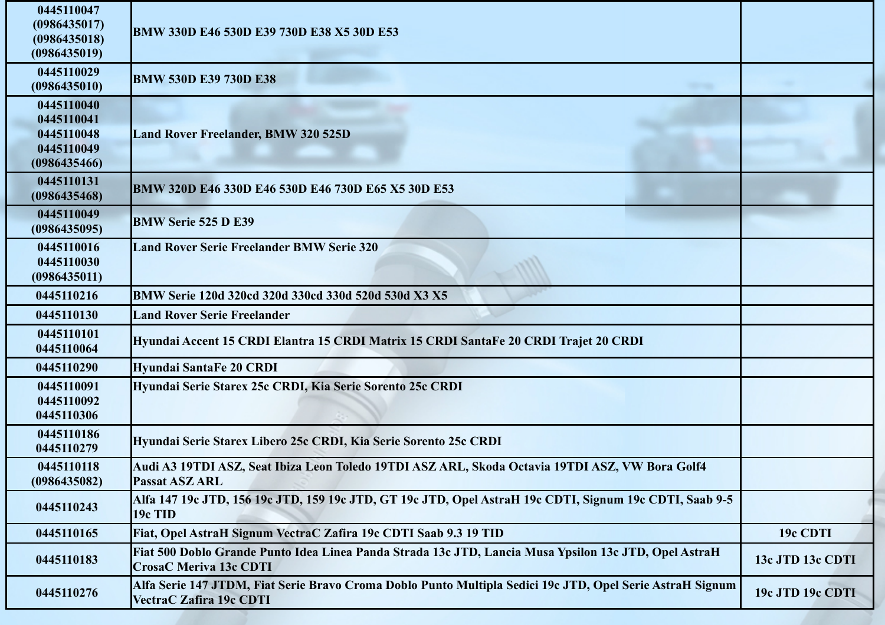| 0445110047<br>(0986435017)<br>(0986435018)<br>(0986435019)           | <b>BMW 330D E46 530D E39 730D E38 X5 30D E53</b>                                                                                            |                  |
|----------------------------------------------------------------------|---------------------------------------------------------------------------------------------------------------------------------------------|------------------|
| 0445110029<br>(0986435010)                                           | <b>BMW 530D E39 730D E38</b>                                                                                                                |                  |
| 0445110040<br>0445110041<br>0445110048<br>0445110049<br>(0986435466) | <b>Land Rover Freelander, BMW 320 525D</b>                                                                                                  |                  |
| 0445110131<br>(0986435468)                                           | BMW 320D E46 330D E46 530D E46 730D E65 X5 30D E53                                                                                          |                  |
| 0445110049<br>(0986435095)                                           | <b>BMW Serie 525 D E39</b>                                                                                                                  |                  |
| 0445110016<br>0445110030<br>(0986435011)                             | <b>Land Rover Serie Freelander BMW Serie 320</b>                                                                                            |                  |
| 0445110216                                                           | BMW Serie 120d 320cd 320d 330cd 330d 520d 530d X3 X5                                                                                        |                  |
| 0445110130                                                           | <b>Land Rover Serie Freelander</b>                                                                                                          |                  |
| 0445110101<br>0445110064                                             | Hyundai Accent 15 CRDI Elantra 15 CRDI Matrix 15 CRDI SantaFe 20 CRDI Trajet 20 CRDI                                                        |                  |
| 0445110290                                                           | Hyundai SantaFe 20 CRDI                                                                                                                     |                  |
| 0445110091<br>0445110092<br>0445110306                               | Hyundai Serie Starex 25c CRDI, Kia Serie Sorento 25c CRDI                                                                                   |                  |
| 0445110186<br>0445110279                                             | Hyundai Serie Starex Libero 25c CRDI, Kia Serie Sorento 25c CRDI                                                                            |                  |
| 0445110118<br>(0986435082)                                           | Audi A3 19TDI ASZ, Seat Ibiza Leon Toledo 19TDI ASZ ARL, Skoda Octavia 19TDI ASZ, VW Bora Golf4<br><b>Passat ASZ ARL</b>                    |                  |
| 0445110243                                                           | Alfa 147 19c JTD, 156 19c JTD, 159 19c JTD, GT 19c JTD, Opel AstraH 19c CDTI, Signum 19c CDTI, Saab 9-5<br>19c TID                          |                  |
| 0445110165                                                           | Fiat, Opel AstraH Signum VectraC Zafira 19c CDTI Saab 9.3 19 TID                                                                            | 19c CDTI         |
| 0445110183                                                           | Fiat 500 Doblo Grande Punto Idea Linea Panda Strada 13c JTD, Lancia Musa Ypsilon 13c JTD, Opel AstraH<br><b>CrosaC Meriva 13c CDTI</b>      | 13c JTD 13c CDTI |
| 0445110276                                                           | Alfa Serie 147 JTDM, Fiat Serie Bravo Croma Doblo Punto Multipla Sedici 19c JTD, Opel Serie AstraH Signum<br><b>VectraC Zafira 19c CDTI</b> | 19c JTD 19c CDTI |
|                                                                      |                                                                                                                                             |                  |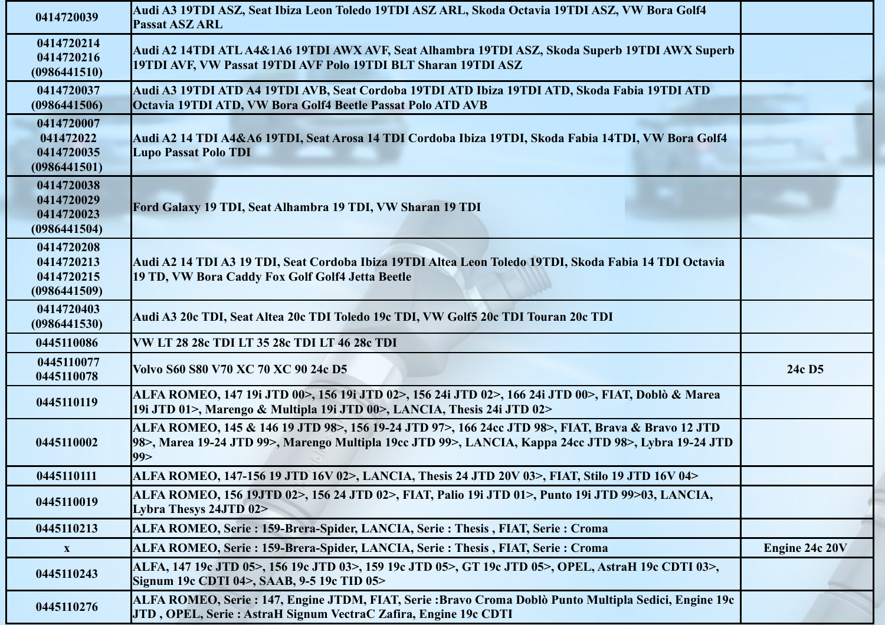| 0414720039                                             | Audi A3 19TDI ASZ, Seat Ibiza Leon Toledo 19TDI ASZ ARL, Skoda Octavia 19TDI ASZ, VW Bora Golf4<br>Passat ASZ ARL                                                                                                 |                    |
|--------------------------------------------------------|-------------------------------------------------------------------------------------------------------------------------------------------------------------------------------------------------------------------|--------------------|
| 0414720214<br>0414720216<br>(0986441510)               | Audi A2 14TDI ATL A4&1A6 19TDI AWX AVF, Seat Alhambra 19TDI ASZ, Skoda Superb 19TDI AWX Superb<br>19TDI AVF, VW Passat 19TDI AVF Polo 19TDI BLT Sharan 19TDI ASZ                                                  |                    |
| 0414720037<br>(0986441506)                             | Audi A3 19TDI ATD A4 19TDI AVB, Seat Cordoba 19TDI ATD Ibiza 19TDI ATD, Skoda Fabia 19TDI ATD<br>Octavia 19TDI ATD, VW Bora Golf4 Beetle Passat Polo ATD AVB                                                      |                    |
| 0414720007<br>041472022<br>0414720035<br>(0986441501)  | Audi A2 14 TDI A4&A6 19TDI, Seat Arosa 14 TDI Cordoba Ibiza 19TDI, Skoda Fabia 14TDI, VW Bora Golf4<br><b>Lupo Passat Polo TDI</b>                                                                                |                    |
| 0414720038<br>0414720029<br>0414720023<br>(0986441504) | Ford Galaxy 19 TDI, Seat Alhambra 19 TDI, VW Sharan 19 TDI                                                                                                                                                        |                    |
| 0414720208<br>0414720213<br>0414720215<br>(0986441509) | Audi A2 14 TDI A3 19 TDI, Seat Cordoba Ibiza 19TDI Altea Leon Toledo 19TDI, Skoda Fabia 14 TDI Octavia<br>19 TD, VW Bora Caddy Fox Golf Golf4 Jetta Beetle                                                        |                    |
| 0414720403<br>(0986441530)                             | Audi A3 20c TDI, Seat Altea 20c TDI Toledo 19c TDI, VW Golf5 20c TDI Touran 20c TDI                                                                                                                               |                    |
| 0445110086                                             | VW LT 28 28c TDI LT 35 28c TDI LT 46 28c TDI                                                                                                                                                                      |                    |
| 0445110077<br>0445110078                               | Volvo S60 S80 V70 XC 70 XC 90 24c D5                                                                                                                                                                              | 24c D <sub>5</sub> |
| 0445110119                                             | ALFA ROMEO, 147 19i JTD 00>, 156 19i JTD 02>, 156 24i JTD 02>, 166 24i JTD 00>, FIAT, Doblò & Marea<br>19i JTD 01>, Marengo & Multipla 19i JTD 00>, LANCIA, Thesis 24i JTD 02>                                    |                    |
| 0445110002                                             | ALFA ROMEO, 145 & 146 19 JTD 98>, 156 19-24 JTD 97>, 166 24cc JTD 98>, FIAT, Brava & Bravo 12 JTD<br>98>, Marea 19-24 JTD 99>, Marengo Multipla 19cc JTD 99>, LANCIA, Kappa 24cc JTD 98>, Lybra 19-24 JTD<br> 99> |                    |
| 0445110111                                             | ALFA ROMEO, 147-156 19 JTD 16V 02>, LANCIA, Thesis 24 JTD 20V 03>, FIAT, Stilo 19 JTD 16V 04>                                                                                                                     |                    |
| 0445110019                                             | ALFA ROMEO, 156 19JTD 02>, 156 24 JTD 02>, FIAT, Palio 19i JTD 01>, Punto 19i JTD 99>03, LANCIA,<br>Lybra Thesys 24JTD 02>                                                                                        |                    |
| 0445110213                                             | ALFA ROMEO, Serie : 159-Brera-Spider, LANCIA, Serie : Thesis, FIAT, Serie : Croma                                                                                                                                 |                    |
| $\mathbf{X}$                                           | ALFA ROMEO, Serie : 159-Brera-Spider, LANCIA, Serie : Thesis, FIAT, Serie : Croma                                                                                                                                 | Engine 24c 20V     |
| 0445110243                                             | ALFA, 147 19c JTD 05>, 156 19c JTD 03>, 159 19c JTD 05>, GT 19c JTD 05>, OPEL, AstraH 19c CDTI 03>,<br>Signum 19c CDTI 04>, SAAB, 9-5 19c TID 05>                                                                 |                    |
| 0445110276                                             | ALFA ROMEO, Serie : 147, Engine JTDM, FIAT, Serie : Bravo Croma Doblò Punto Multipla Sedici, Engine 19c<br>JTD, OPEL, Serie: AstraH Signum VectraC Zafira, Engine 19c CDTI                                        |                    |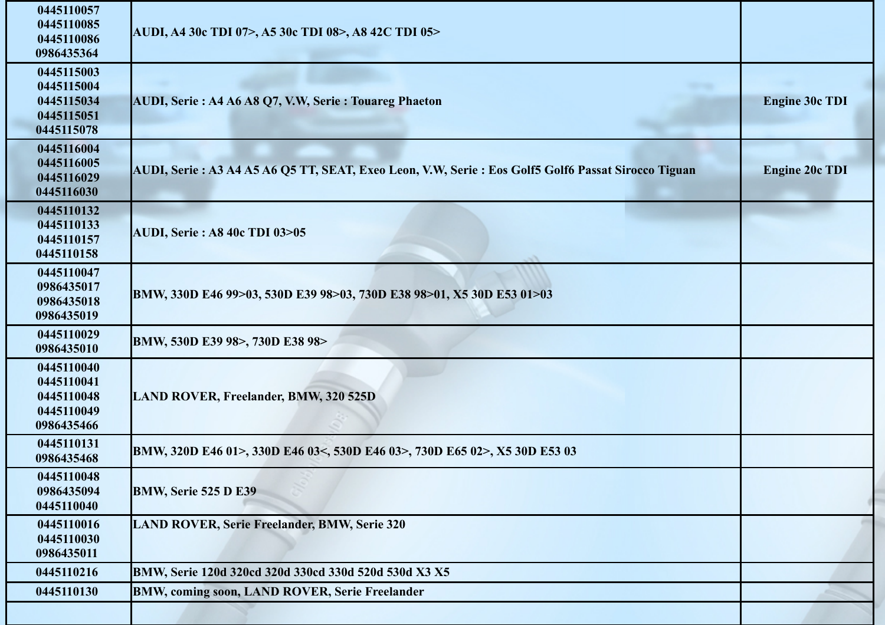| 0445110057<br>0445110085<br>0445110086<br>0986435364               | AUDI, A4 30c TDI 07>, A5 30c TDI 08>, A8 42C TDI 05>                                                 |                       |
|--------------------------------------------------------------------|------------------------------------------------------------------------------------------------------|-----------------------|
| 0445115003<br>0445115004<br>0445115034<br>0445115051<br>0445115078 | AUDI, Serie : A4 A6 A8 Q7, V.W, Serie : Touareg Phaeton                                              | <b>Engine 30c TDI</b> |
| 0445116004<br>0445116005<br>0445116029<br>0445116030               | AUDI, Serie : A3 A4 A5 A6 Q5 TT, SEAT, Exeo Leon, V.W, Serie : Eos Golf5 Golf6 Passat Sirocco Tiguan | <b>Engine 20c TDI</b> |
| 0445110132<br>0445110133<br>0445110157<br>0445110158               | <b>AUDI, Serie: A8 40c TDI 03&gt;05</b>                                                              |                       |
| 0445110047<br>0986435017<br>0986435018<br>0986435019               | BMW, 330D E46 99>03, 530D E39 98>03, 730D E38 98>01, X5 30D E53 01>03                                |                       |
| 0445110029<br>0986435010                                           | BMW, 530D E39 98>, 730D E38 98>                                                                      |                       |
| 0445110040<br>0445110041<br>0445110048<br>0445110049<br>0986435466 | LAND ROVER, Freelander, BMW, 320 525D                                                                |                       |
| 0445110131<br>0986435468                                           | BMW, 320D E46 01>, 330D E46 03<, 530D E46 03>, 730D E65 02>, X5 30D E53 03                           |                       |
| 0445110048<br>0986435094<br>0445110040                             | BMW, Serie 525 D E39                                                                                 |                       |
| 0445110016<br>0445110030<br>0986435011                             | LAND ROVER, Serie Freelander, BMW, Serie 320                                                         |                       |
| 0445110216                                                         | BMW, Serie 120d 320cd 320d 330cd 330d 520d 530d X3 X5                                                |                       |
| 0445110130                                                         | <b>BMW, coming soon, LAND ROVER, Serie Freelander</b>                                                |                       |
|                                                                    |                                                                                                      |                       |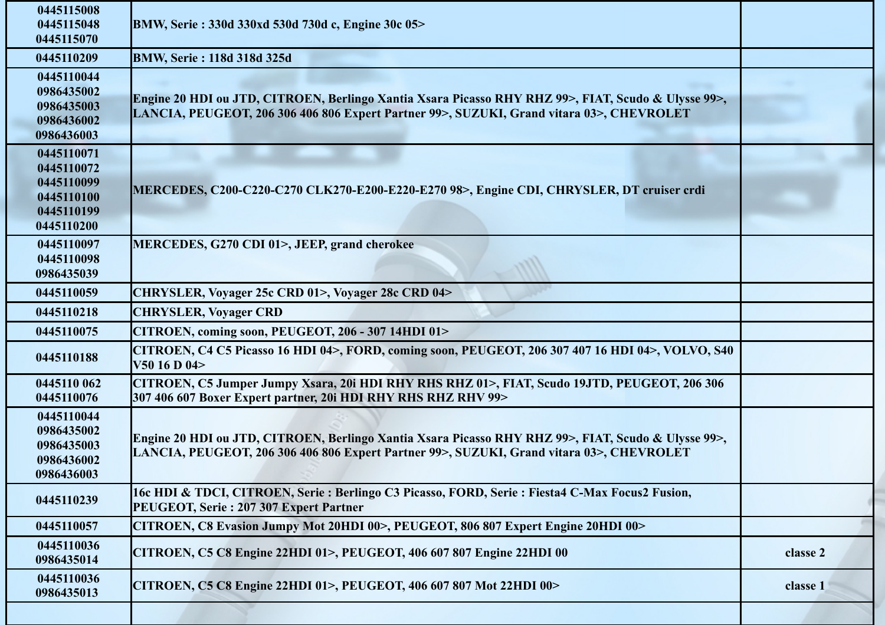| 0445115008<br>0445115048<br>0445115070                                           | BMW, Serie: 330d 330xd 530d 730d c, Engine 30c 05>                                                                                                                                              |          |
|----------------------------------------------------------------------------------|-------------------------------------------------------------------------------------------------------------------------------------------------------------------------------------------------|----------|
| 0445110209                                                                       | BMW, Serie: 118d 318d 325d                                                                                                                                                                      |          |
| 0445110044<br>0986435002<br>0986435003<br>0986436002<br>0986436003               | Engine 20 HDI ou JTD, CITROEN, Berlingo Xantia Xsara Picasso RHY RHZ 99>, FIAT, Scudo & Ulysse 99>,<br>LANCIA, PEUGEOT, 206 306 406 806 Expert Partner 99>, SUZUKI, Grand vitara 03>, CHEVROLET |          |
| 0445110071<br>0445110072<br>0445110099<br>0445110100<br>0445110199<br>0445110200 | MERCEDES, C200-C220-C270 CLK270-E200-E220-E270 98>, Engine CDI, CHRYSLER, DT cruiser crdi                                                                                                       |          |
| 0445110097<br>0445110098<br>0986435039                                           | MERCEDES, G270 CDI 01>, JEEP, grand cherokee                                                                                                                                                    |          |
| 0445110059                                                                       | CHRYSLER, Voyager 25c CRD 01>, Voyager 28c CRD 04>                                                                                                                                              |          |
| 0445110218                                                                       | <b>CHRYSLER, Voyager CRD</b>                                                                                                                                                                    |          |
| 0445110075                                                                       | CITROEN, coming soon, PEUGEOT, 206 - 307 14HDI 01>                                                                                                                                              |          |
| 0445110188                                                                       | CITROEN, C4 C5 Picasso 16 HDI 04>, FORD, coming soon, PEUGEOT, 206 307 407 16 HDI 04>, VOLVO, S40<br>V50 16 D 04>                                                                               |          |
| 0445110 062<br>0445110076                                                        | CITROEN, C5 Jumper Jumpy Xsara, 20i HDI RHY RHS RHZ 01>, FIAT, Scudo 19JTD, PEUGEOT, 206 306<br>307 406 607 Boxer Expert partner, 20i HDI RHY RHS RHZ RHV 99>                                   |          |
| 0445110044<br>0986435002<br>0986435003<br>0986436002<br>0986436003               | Engine 20 HDI ou JTD, CITROEN, Berlingo Xantia Xsara Picasso RHY RHZ 99>, FIAT, Scudo & Ulysse 99>,<br>LANCIA, PEUGEOT, 206 306 406 806 Expert Partner 99>, SUZUKI, Grand vitara 03>, CHEVROLET |          |
| 0445110239                                                                       | 16c HDI & TDCI, CITROEN, Serie: Berlingo C3 Picasso, FORD, Serie: Fiesta4 C-Max Focus2 Fusion,<br>PEUGEOT, Serie: 207 307 Expert Partner                                                        |          |
| 0445110057                                                                       | CITROEN, C8 Evasion Jumpy Mot 20HDI 00>, PEUGEOT, 806 807 Expert Engine 20HDI 00>                                                                                                               |          |
| 0445110036<br>0986435014                                                         | CITROEN, C5 C8 Engine 22HDI 01>, PEUGEOT, 406 607 807 Engine 22HDI 00                                                                                                                           | classe 2 |
| 0445110036<br>0986435013                                                         | CITROEN, C5 C8 Engine 22HDI 01>, PEUGEOT, 406 607 807 Mot 22HDI 00>                                                                                                                             | classe 1 |
|                                                                                  |                                                                                                                                                                                                 |          |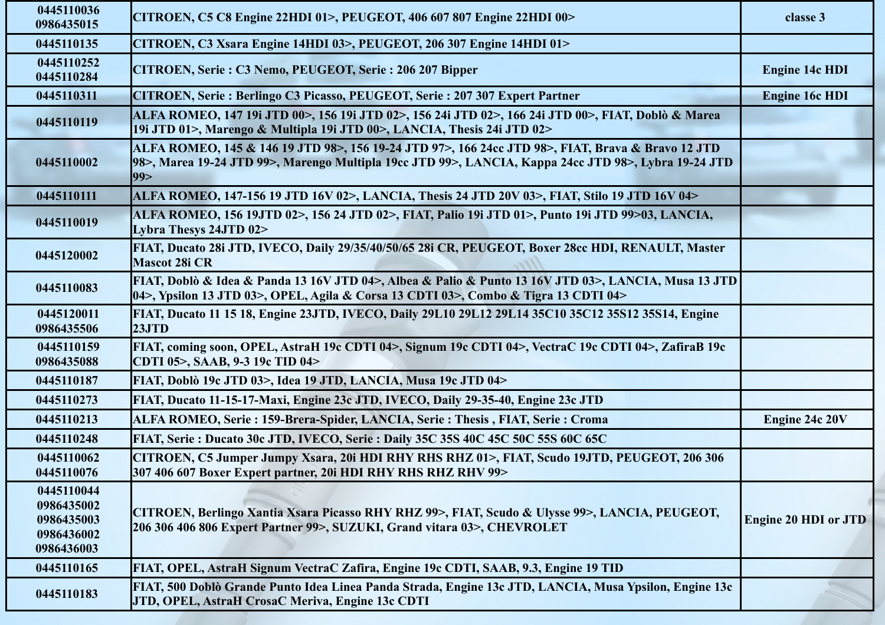| 0445110036<br>0986435015                                           | CITROEN, C5 C8 Engine 22HDI 01>, PEUGEOT, 406 607 807 Engine 22HDI 00>                                                                                                                                            | classe 3                    |
|--------------------------------------------------------------------|-------------------------------------------------------------------------------------------------------------------------------------------------------------------------------------------------------------------|-----------------------------|
| 0445110135                                                         | CITROEN, C3 Xsara Engine 14HDI 03>, PEUGEOT, 206 307 Engine 14HDI 01>                                                                                                                                             |                             |
| 0445110252<br>0445110284                                           | CITROEN, Serie: C3 Nemo, PEUGEOT, Serie: 206 207 Bipper                                                                                                                                                           | <b>Engine 14c HDI</b>       |
| 0445110311                                                         | CITROEN, Serie : Berlingo C3 Picasso, PEUGEOT, Serie : 207 307 Expert Partner                                                                                                                                     | <b>Engine 16c HDI</b>       |
| 0445110119                                                         | ALFA ROMEO, 147 19i JTD 00>, 156 19i JTD 02>, 156 24i JTD 02>, 166 24i JTD 00>, FIAT, Doblò & Marea<br>19i JTD 01>, Marengo & Multipla 19i JTD 00>, LANCIA, Thesis 24i JTD 02>                                    |                             |
| 0445110002                                                         | ALFA ROMEO, 145 & 146 19 JTD 98>, 156 19-24 JTD 97>, 166 24cc JTD 98>, FIAT, Brava & Bravo 12 JTD<br>98>, Marea 19-24 JTD 99>, Marengo Multipla 19cc JTD 99>, LANCIA, Kappa 24cc JTD 98>, Lybra 19-24 JTD<br> 99> |                             |
| 0445110111                                                         | ALFA ROMEO, 147-156 19 JTD 16V 02>, LANCIA, Thesis 24 JTD 20V 03>, FIAT, Stilo 19 JTD 16V 04>                                                                                                                     |                             |
| 0445110019                                                         | ALFA ROMEO, 156 19JTD 02>, 156 24 JTD 02>, FIAT, Palio 19i JTD 01>, Punto 19i JTD 99>03, LANCIA,<br>Lybra Thesys 24JTD 02>                                                                                        |                             |
| 0445120002                                                         | FIAT, Ducato 28i JTD, IVECO, Daily 29/35/40/50/65 28i CR, PEUGEOT, Boxer 28cc HDI, RENAULT, Master<br><b>Mascot 28i CR</b>                                                                                        |                             |
| 0445110083                                                         | FIAT, Doblò & Idea & Panda 13 16V JTD 04>, Albea & Palio & Punto 13 16V JTD 03>, LANCIA, Musa 13 JTD<br>04>, Ypsilon 13 JTD 03>, OPEL, Agila & Corsa 13 CDTI 03>, Combo & Tigra 13 CDTI 04>                       |                             |
| 0445120011<br>0986435506                                           | FIAT, Ducato 11 15 18, Engine 23JTD, IVECO, Daily 29L10 29L12 29L14 35C10 35C12 35S12 35S14, Engine<br>23JTD                                                                                                      |                             |
| 0445110159<br>0986435088                                           | FIAT, coming soon, OPEL, AstraH 19c CDTI 04>, Signum 19c CDTI 04>, VectraC 19c CDTI 04>, ZafiraB 19c<br> CDTI 05>, SAAB, 9-3 19c TID 04>                                                                          |                             |
| 0445110187                                                         | FIAT, Doblò 19c JTD 03>, Idea 19 JTD, LANCIA, Musa 19c JTD 04>                                                                                                                                                    |                             |
| 0445110273                                                         | FIAT, Ducato 11-15-17-Maxi, Engine 23c JTD, IVECO, Daily 29-35-40, Engine 23c JTD                                                                                                                                 |                             |
| 0445110213                                                         | ALFA ROMEO, Serie: 159-Brera-Spider, LANCIA, Serie: Thesis, FIAT, Serie: Croma                                                                                                                                    | Engine 24c 20V              |
| 0445110248                                                         | FIAT, Serie : Ducato 30c JTD, IVECO, Serie : Daily 35C 35S 40C 45C 50C 55S 60C 65C                                                                                                                                |                             |
| 0445110062<br>0445110076                                           | CITROEN, C5 Jumper Jumpy Xsara, 20i HDI RHY RHS RHZ 01>, FIAT, Scudo 19JTD, PEUGEOT, 206 306<br>307 406 607 Boxer Expert partner, 20i HDI RHY RHS RHZ RHV 99>                                                     |                             |
| 0445110044<br>0986435002<br>0986435003<br>0986436002<br>0986436003 | CITROEN, Berlingo Xantia Xsara Picasso RHY RHZ 99>, FIAT, Scudo & Ulysse 99>, LANCIA, PEUGEOT,<br>206 306 406 806 Expert Partner 99>, SUZUKI, Grand vitara 03>, CHEVROLET                                         | <b>Engine 20 HDI or JTD</b> |
| 0445110165                                                         | FIAT, OPEL, AstraH Signum VectraC Zafira, Engine 19c CDTI, SAAB, 9.3, Engine 19 TID                                                                                                                               |                             |
| 0445110183                                                         | FIAT, 500 Doblò Grande Punto Idea Linea Panda Strada, Engine 13c JTD, LANCIA, Musa Ypsilon, Engine 13c<br>JTD, OPEL, AstraH CrosaC Meriva, Engine 13c CDTI                                                        |                             |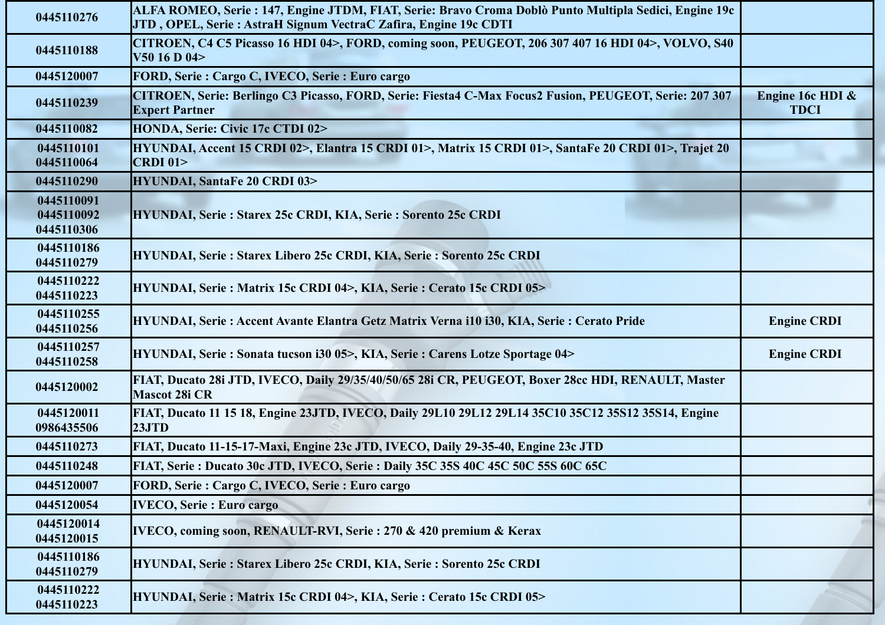| 0445110276                             | ALFA ROMEO, Serie : 147, Engine JTDM, FIAT, Serie: Bravo Croma Doblò Punto Multipla Sedici, Engine 19c<br>JTD, OPEL, Serie: AstraH Signum VectraC Zafira, Engine 19c CDTI |                                 |
|----------------------------------------|---------------------------------------------------------------------------------------------------------------------------------------------------------------------------|---------------------------------|
| 0445110188                             | CITROEN, C4 C5 Picasso 16 HDI 04>, FORD, coming soon, PEUGEOT, 206 307 407 16 HDI 04>, VOLVO, S40<br>V50 16 D 04>                                                         |                                 |
| 0445120007                             | <b>FORD, Serie: Cargo C, IVECO, Serie: Euro cargo</b>                                                                                                                     |                                 |
| 0445110239                             | CITROEN, Serie: Berlingo C3 Picasso, FORD, Serie: Fiesta4 C-Max Focus2 Fusion, PEUGEOT, Serie: 207 307<br><b>Expert Partner</b>                                           | Engine 16c HDI &<br><b>TDCI</b> |
| 0445110082                             | HONDA, Serie: Civic 17c CTDI 02>                                                                                                                                          |                                 |
| 0445110101<br>0445110064               | HYUNDAI, Accent 15 CRDI 02>, Elantra 15 CRDI 01>, Matrix 15 CRDI 01>, SantaFe 20 CRDI 01>, Trajet 20<br>$CRDI$ 01>                                                        |                                 |
| 0445110290                             | HYUNDAI, SantaFe 20 CRDI 03>                                                                                                                                              |                                 |
| 0445110091<br>0445110092<br>0445110306 | HYUNDAI, Serie: Starex 25c CRDI, KIA, Serie: Sorento 25c CRDI                                                                                                             |                                 |
| 0445110186<br>0445110279               | HYUNDAI, Serie : Starex Libero 25c CRDI, KIA, Serie : Sorento 25c CRDI                                                                                                    |                                 |
| 0445110222<br>0445110223               | HYUNDAI, Serie : Matrix 15c CRDI 04>, KIA, Serie : Cerato 15c CRDI 05>                                                                                                    |                                 |
| 0445110255<br>0445110256               | HYUNDAI, Serie : Accent Avante Elantra Getz Matrix Verna i10 i30, KIA, Serie : Cerato Pride                                                                               | <b>Engine CRDI</b>              |
| 0445110257<br>0445110258               | HYUNDAI, Serie : Sonata tucson i30 05>, KIA, Serie : Carens Lotze Sportage 04>                                                                                            | <b>Engine CRDI</b>              |
| 0445120002                             | FIAT, Ducato 28i JTD, IVECO, Daily 29/35/40/50/65 28i CR, PEUGEOT, Boxer 28cc HDI, RENAULT, Master<br><b>Mascot 28i CR</b>                                                |                                 |
| 0445120011<br>0986435506               | FIAT, Ducato 11 15 18, Engine 23JTD, IVECO, Daily 29L10 29L12 29L14 35C10 35C12 35S12 35S14, Engine<br>23JTD                                                              |                                 |
| 0445110273                             | FIAT, Ducato 11-15-17-Maxi, Engine 23c JTD, IVECO, Daily 29-35-40, Engine 23c JTD                                                                                         |                                 |
| 0445110248                             | FIAT, Serie : Ducato 30c JTD, IVECO, Serie : Daily 35C 35S 40C 45C 50C 55S 60C 65C                                                                                        |                                 |
| 0445120007                             | <b>FORD, Serie: Cargo C, IVECO, Serie: Euro cargo</b>                                                                                                                     |                                 |
| 0445120054                             | <b>IVECO, Serie : Euro cargo</b>                                                                                                                                          |                                 |
| 0445120014<br>0445120015               | <b>IVECO, coming soon, RENAULT-RVI, Serie : 270 &amp; 420 premium &amp; Kerax</b>                                                                                         |                                 |
| 0445110186<br>0445110279               | HYUNDAI, Serie : Starex Libero 25c CRDI, KIA, Serie : Sorento 25c CRDI                                                                                                    |                                 |
| 0445110222<br>0445110223               | HYUNDAI, Serie : Matrix 15c CRDI 04>, KIA, Serie : Cerato 15c CRDI 05>                                                                                                    |                                 |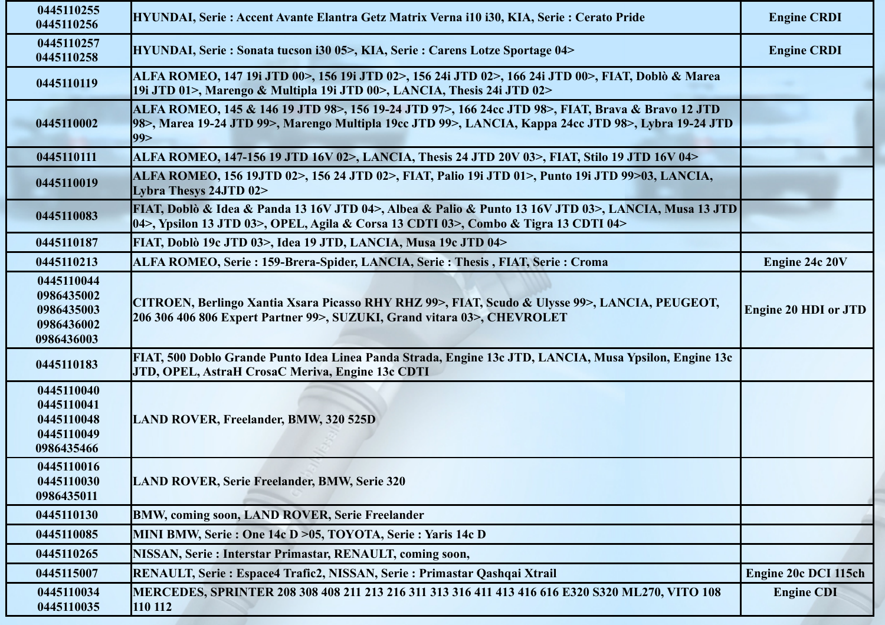| 0445110255<br>0445110256                                           | HYUNDAI, Serie : Accent Avante Elantra Getz Matrix Verna i10 i30, KIA, Serie : Cerato Pride                                                                                                                       | <b>Engine CRDI</b>          |
|--------------------------------------------------------------------|-------------------------------------------------------------------------------------------------------------------------------------------------------------------------------------------------------------------|-----------------------------|
| 0445110257<br>0445110258                                           | HYUNDAI, Serie : Sonata tucson i30 05>, KIA, Serie : Carens Lotze Sportage 04>                                                                                                                                    | <b>Engine CRDI</b>          |
| 0445110119                                                         | ALFA ROMEO, 147 19i JTD 00>, 156 19i JTD 02>, 156 24i JTD 02>, 166 24i JTD 00>, FIAT, Doblò & Marea<br>19i JTD 01>, Marengo & Multipla 19i JTD 00>, LANCIA, Thesis 24i JTD 02>                                    |                             |
| 0445110002                                                         | ALFA ROMEO, 145 & 146 19 JTD 98>, 156 19-24 JTD 97>, 166 24cc JTD 98>, FIAT, Brava & Bravo 12 JTD<br>98>, Marea 19-24 JTD 99>, Marengo Multipla 19cc JTD 99>, LANCIA, Kappa 24cc JTD 98>, Lybra 19-24 JTD<br> 99> |                             |
| 0445110111                                                         | ALFA ROMEO, 147-156 19 JTD 16V 02>, LANCIA, Thesis 24 JTD 20V 03>, FIAT, Stilo 19 JTD 16V 04>                                                                                                                     |                             |
| 0445110019                                                         | ALFA ROMEO, 156 19JTD 02>, 156 24 JTD 02>, FIAT, Palio 19i JTD 01>, Punto 19i JTD 99>03, LANCIA,<br>Lybra Thesys 24JTD 02>                                                                                        |                             |
| 0445110083                                                         | FIAT, Doblò & Idea & Panda 13 16V JTD 04>, Albea & Palio & Punto 13 16V JTD 03>, LANCIA, Musa 13 JTD<br>04>, Ypsilon 13 JTD 03>, OPEL, Agila & Corsa 13 CDTI 03>, Combo & Tigra 13 CDTI 04>                       |                             |
| 0445110187                                                         | FIAT, Doblò 19c JTD 03>, Idea 19 JTD, LANCIA, Musa 19c JTD 04>                                                                                                                                                    |                             |
| 0445110213                                                         | ALFA ROMEO, Serie: 159-Brera-Spider, LANCIA, Serie: Thesis, FIAT, Serie: Croma                                                                                                                                    | Engine 24c 20V              |
| 0445110044<br>0986435002<br>0986435003<br>0986436002<br>0986436003 | CITROEN, Berlingo Xantia Xsara Picasso RHY RHZ 99>, FIAT, Scudo & Ulysse 99>, LANCIA, PEUGEOT,<br>206 306 406 806 Expert Partner 99>, SUZUKI, Grand vitara 03>, CHEVROLET                                         | <b>Engine 20 HDI or JTD</b> |
| 0445110183                                                         | FIAT, 500 Doblo Grande Punto Idea Linea Panda Strada, Engine 13c JTD, LANCIA, Musa Ypsilon, Engine 13c<br>JTD, OPEL, AstraH CrosaC Meriva, Engine 13c CDTI                                                        |                             |
| 0445110040<br>0445110041<br>0445110048<br>0445110049<br>0986435466 | LAND ROVER, Freelander, BMW, 320 525D                                                                                                                                                                             |                             |
| 0445110016<br>0445110030<br>0986435011                             | <b>LAND ROVER, Serie Freelander, BMW, Serie 320</b>                                                                                                                                                               |                             |
| 0445110130                                                         | <b>BMW, coming soon, LAND ROVER, Serie Freelander</b>                                                                                                                                                             |                             |
| 0445110085                                                         | MINI BMW, Serie : One 14c D >05, TOYOTA, Serie : Yaris 14c D                                                                                                                                                      |                             |
| 0445110265                                                         | NISSAN, Serie: Interstar Primastar, RENAULT, coming soon,                                                                                                                                                         |                             |
| 0445115007                                                         | RENAULT, Serie : Espace4 Trafic2, NISSAN, Serie : Primastar Qashqai Xtrail                                                                                                                                        | Engine 20c DCI 115ch        |
| 0445110034<br>0445110035                                           | MERCEDES, SPRINTER 208 308 408 211 213 216 311 313 316 411 413 416 616 E320 S320 ML270, VITO 108<br>110 112                                                                                                       | <b>Engine CDI</b>           |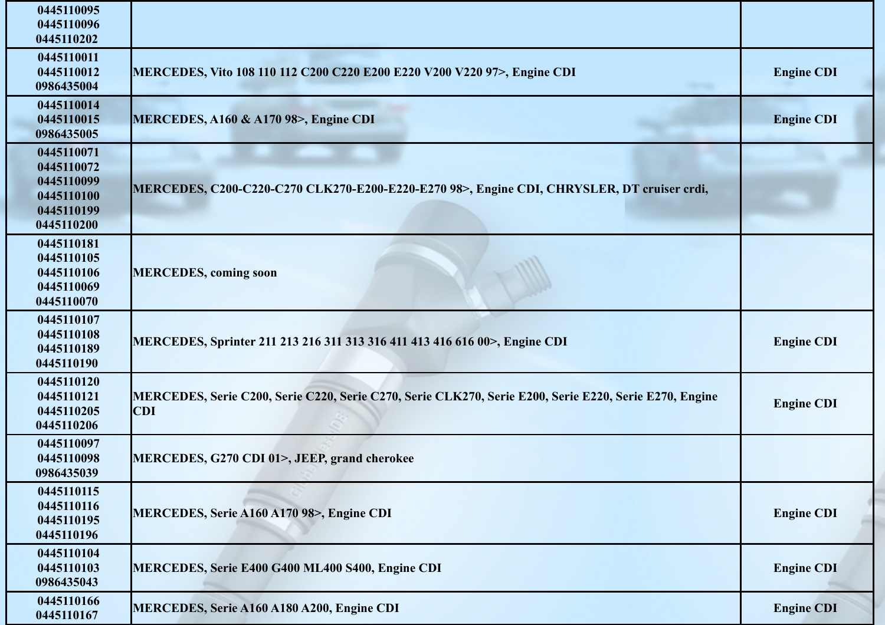| 0445110095 |                                                                                                        |                   |
|------------|--------------------------------------------------------------------------------------------------------|-------------------|
| 0445110096 |                                                                                                        |                   |
| 0445110202 |                                                                                                        |                   |
| 0445110011 |                                                                                                        |                   |
| 0445110012 | MERCEDES, Vito 108 110 112 C200 C220 E200 E220 V200 V220 97>, Engine CDI                               | <b>Engine CDI</b> |
| 0986435004 |                                                                                                        |                   |
| 0445110014 |                                                                                                        |                   |
| 0445110015 | MERCEDES, A160 & A170 98>, Engine CDI                                                                  | <b>Engine CDI</b> |
| 0986435005 |                                                                                                        |                   |
| 0445110071 |                                                                                                        |                   |
| 0445110072 |                                                                                                        |                   |
| 0445110099 |                                                                                                        |                   |
| 0445110100 | MERCEDES, C200-C220-C270 CLK270-E200-E220-E270 98>, Engine CDI, CHRYSLER, DT cruiser crdi,             |                   |
| 0445110199 |                                                                                                        |                   |
| 0445110200 |                                                                                                        |                   |
| 0445110181 |                                                                                                        |                   |
| 0445110105 |                                                                                                        |                   |
| 0445110106 | <b>MERCEDES, coming soon</b>                                                                           |                   |
| 0445110069 |                                                                                                        |                   |
| 0445110070 |                                                                                                        |                   |
| 0445110107 |                                                                                                        |                   |
| 0445110108 |                                                                                                        |                   |
| 0445110189 | MERCEDES, Sprinter 211 213 216 311 313 316 411 413 416 616 00>, Engine CDI                             | <b>Engine CDI</b> |
| 0445110190 |                                                                                                        |                   |
| 0445110120 |                                                                                                        |                   |
| 0445110121 | MERCEDES, Serie C200, Serie C220, Serie C270, Serie CLK270, Serie E200, Serie E220, Serie E270, Engine | <b>Engine CDI</b> |
| 0445110205 | <b>CDI</b>                                                                                             |                   |
| 0445110206 |                                                                                                        |                   |
| 0445110097 |                                                                                                        |                   |
| 0445110098 | MERCEDES, G270 CDI 01>, JEEP, grand cherokee                                                           |                   |
| 0986435039 |                                                                                                        |                   |
| 0445110115 |                                                                                                        |                   |
| 0445110116 | MERCEDES, Serie A160 A170 98>, Engine CDI                                                              | <b>Engine CDI</b> |
| 0445110195 |                                                                                                        |                   |
| 0445110196 |                                                                                                        |                   |
| 0445110104 |                                                                                                        |                   |
| 0445110103 | MERCEDES, Serie E400 G400 ML400 S400, Engine CDI                                                       | <b>Engine CDI</b> |
| 0986435043 |                                                                                                        |                   |
| 0445110166 | MERCEDES, Serie A160 A180 A200, Engine CDI                                                             | <b>Engine CDI</b> |
| 0445110167 |                                                                                                        |                   |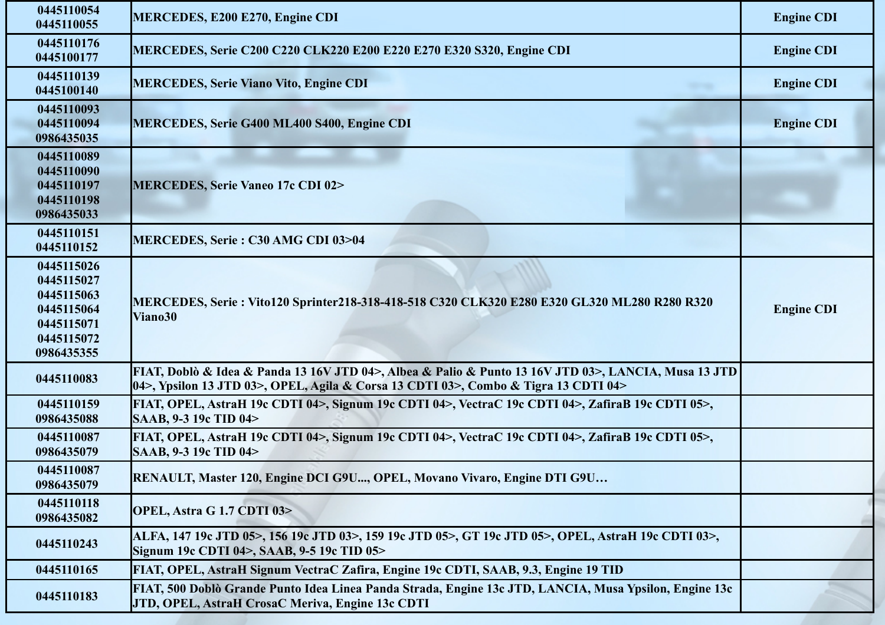| 0445110054<br>0445110055                                                                       | MERCEDES, E200 E270, Engine CDI                                                                                                                                                             | <b>Engine CDI</b> |
|------------------------------------------------------------------------------------------------|---------------------------------------------------------------------------------------------------------------------------------------------------------------------------------------------|-------------------|
| 0445110176<br>0445100177                                                                       | MERCEDES, Serie C200 C220 CLK220 E200 E220 E270 E320 S320, Engine CDI                                                                                                                       | <b>Engine CDI</b> |
| 0445110139<br>0445100140                                                                       | <b>MERCEDES, Serie Viano Vito, Engine CDI</b><br><b>SERVICES</b>                                                                                                                            | <b>Engine CDI</b> |
| 0445110093<br>0445110094<br>0986435035                                                         | MERCEDES, Serie G400 ML400 S400, Engine CDI                                                                                                                                                 | <b>Engine CDI</b> |
| 0445110089<br>0445110090<br>0445110197<br>0445110198<br>0986435033                             | <b>MERCEDES, Serie Vaneo 17c CDI 02&gt;</b>                                                                                                                                                 |                   |
| 0445110151<br>0445110152                                                                       | MERCEDES, Serie: C30 AMG CDI 03>04                                                                                                                                                          |                   |
| 0445115026<br>0445115027<br>0445115063<br>0445115064<br>0445115071<br>0445115072<br>0986435355 | MERCEDES, Serie : Vito120 Sprinter218-318-418-518 C320 CLK320 E280 E320 GL320 ML280 R280 R320<br>Viano30                                                                                    | <b>Engine CDI</b> |
| 0445110083                                                                                     | FIAT, Doblò & Idea & Panda 13 16V JTD 04>, Albea & Palio & Punto 13 16V JTD 03>, LANCIA, Musa 13 JTD<br>04>, Ypsilon 13 JTD 03>, OPEL, Agila & Corsa 13 CDTI 03>, Combo & Tigra 13 CDTI 04> |                   |
| 0445110159<br>0986435088                                                                       | FIAT, OPEL, AstraH 19c CDTI 04>, Signum 19c CDTI 04>, VectraC 19c CDTI 04>, ZafiraB 19c CDTI 05>,<br>SAAB, 9-3 19c TID 04>                                                                  |                   |
| 0445110087<br>0986435079                                                                       | FIAT, OPEL, AstraH 19c CDTI 04>, Signum 19c CDTI 04>, VectraC 19c CDTI 04>, ZafiraB 19c CDTI 05>,<br>SAAB, 9-3 19c TID 04>                                                                  |                   |
| 0445110087<br>0986435079                                                                       | RENAULT, Master 120, Engine DCI G9U, OPEL, Movano Vivaro, Engine DTI G9U                                                                                                                    |                   |
| 0445110118<br>0986435082                                                                       | OPEL, Astra G 1.7 CDTI 03>                                                                                                                                                                  |                   |
| 0445110243                                                                                     | ALFA, 147 19c JTD 05>, 156 19c JTD 03>, 159 19c JTD 05>, GT 19c JTD 05>, OPEL, AstraH 19c CDTI 03>,<br>Signum 19c CDTI 04>, SAAB, 9-5 19c TID 05>                                           |                   |
| 0445110165                                                                                     | FIAT, OPEL, AstraH Signum VectraC Zafira, Engine 19c CDTI, SAAB, 9.3, Engine 19 TID                                                                                                         |                   |
| 0445110183                                                                                     | FIAT, 500 Doblò Grande Punto Idea Linea Panda Strada, Engine 13c JTD, LANCIA, Musa Ypsilon, Engine 13c<br>JTD, OPEL, AstraH CrosaC Meriva, Engine 13c CDTI                                  |                   |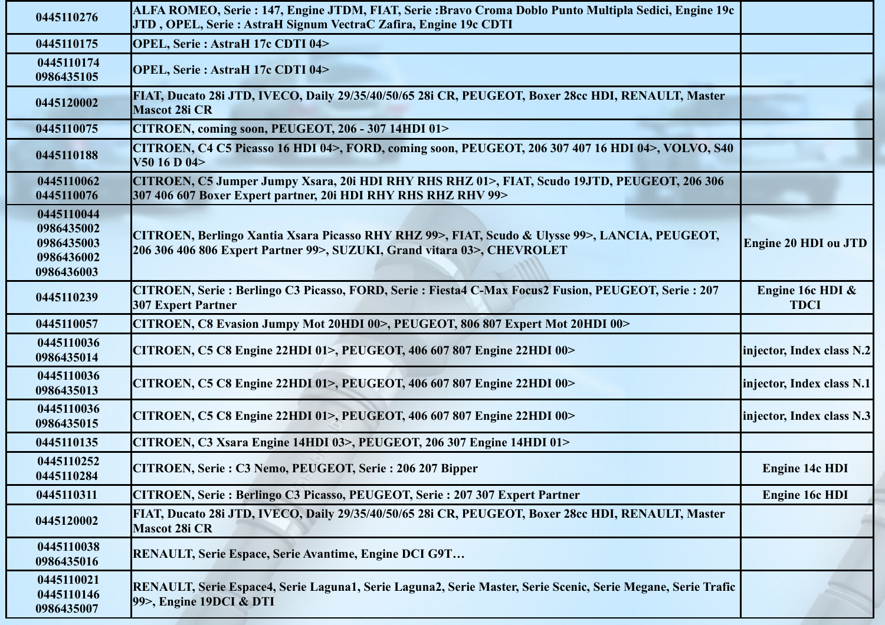| 0445110276                                           | ALFA ROMEO, Serie : 147, Engine JTDM, FIAT, Serie :Bravo Croma Doblo Punto Multipla Sedici, Engine 19c<br>JTD, OPEL, Serie: AstraH Signum VectraC Zafira, Engine 19c CDTI |                                 |
|------------------------------------------------------|---------------------------------------------------------------------------------------------------------------------------------------------------------------------------|---------------------------------|
| 0445110175                                           | <b>OPEL, Serie: AstraH 17c CDTI 04&gt;</b>                                                                                                                                |                                 |
| 0445110174<br>0986435105                             | <b>OPEL, Serie: AstraH 17c CDTI 04&gt;</b>                                                                                                                                |                                 |
| 0445120002                                           | FIAT, Ducato 28i JTD, IVECO, Daily 29/35/40/50/65 28i CR, PEUGEOT, Boxer 28cc HDI, RENAULT, Master<br><b>Mascot 28i CR</b>                                                |                                 |
| 0445110075                                           | CITROEN, coming soon, PEUGEOT, 206 - 307 14HDI 01>                                                                                                                        |                                 |
| 0445110188                                           | CITROEN, C4 C5 Picasso 16 HDI 04>, FORD, coming soon, PEUGEOT, 206 307 407 16 HDI 04>, VOLVO, S40<br>V50 16 D 04>                                                         |                                 |
| 0445110062<br>0445110076                             | CITROEN, C5 Jumper Jumpy Xsara, 20i HDI RHY RHS RHZ 01>, FIAT, Scudo 19JTD, PEUGEOT, 206 306<br>307 406 607 Boxer Expert partner, 20i HDI RHY RHS RHZ RHV 99>             |                                 |
| 0445110044                                           |                                                                                                                                                                           |                                 |
| 0986435002<br>0986435003<br>0986436002<br>0986436003 | CITROEN, Berlingo Xantia Xsara Picasso RHY RHZ 99>, FIAT, Scudo & Ulysse 99>, LANCIA, PEUGEOT,<br>206 306 406 806 Expert Partner 99>, SUZUKI, Grand vitara 03>, CHEVROLET | <b>Engine 20 HDI ou JTD</b>     |
| 0445110239                                           | CITROEN, Serie: Berlingo C3 Picasso, FORD, Serie: Fiesta4 C-Max Focus2 Fusion, PEUGEOT, Serie: 207<br><b>307 Expert Partner</b>                                           | Engine 16c HDI &<br><b>TDCI</b> |
| 0445110057                                           | CITROEN, C8 Evasion Jumpy Mot 20HDI 00>, PEUGEOT, 806 807 Expert Mot 20HDI 00>                                                                                            |                                 |
| 0445110036<br>0986435014                             | CITROEN, C5 C8 Engine 22HDI 01>, PEUGEOT, 406 607 807 Engine 22HDI 00>                                                                                                    | injector, Index class N.2       |
| 0445110036<br>0986435013                             | CITROEN, C5 C8 Engine 22HDI 01>, PEUGEOT, 406 607 807 Engine 22HDI 00>                                                                                                    | injector, Index class N.1       |
| 0445110036<br>0986435015                             | CITROEN, C5 C8 Engine 22HDI 01>, PEUGEOT, 406 607 807 Engine 22HDI 00>                                                                                                    | injector, Index class N.3       |
| 0445110135                                           | CITROEN, C3 Xsara Engine 14HDI 03>, PEUGEOT, 206 307 Engine 14HDI 01>                                                                                                     |                                 |
| 0445110252<br>0445110284                             | CITROEN, Serie: C3 Nemo, PEUGEOT, Serie: 206 207 Bipper                                                                                                                   | <b>Engine 14c HDI</b>           |
| 0445110311                                           | CITROEN, Serie: Berlingo C3 Picasso, PEUGEOT, Serie: 207 307 Expert Partner                                                                                               | <b>Engine 16c HDI</b>           |
| 0445120002                                           | FIAT, Ducato 28i JTD, IVECO, Daily 29/35/40/50/65 28i CR, PEUGEOT, Boxer 28cc HDI, RENAULT, Master<br><b>Mascot 28i CR</b>                                                |                                 |
| 0445110038<br>0986435016                             | RENAULT, Serie Espace, Serie Avantime, Engine DCI G9T                                                                                                                     |                                 |
| 0445110021<br>0445110146<br>0986435007               | RENAULT, Serie Espace4, Serie Laguna1, Serie Laguna2, Serie Master, Serie Scenic, Serie Megane, Serie Trafic<br>99>, Engine 19DCI & DTI                                   |                                 |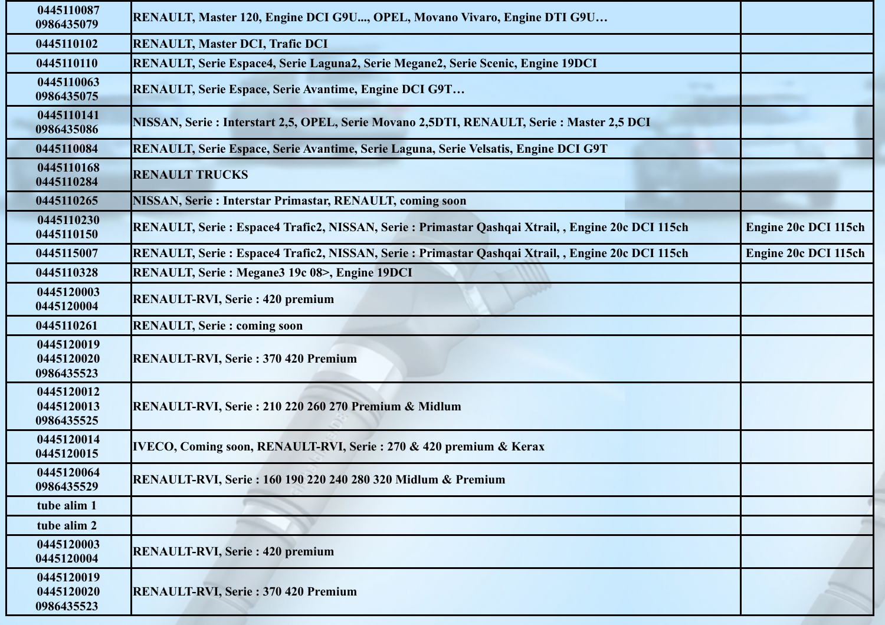| 0445110087<br>0986435079               | RENAULT, Master 120, Engine DCI G9U, OPEL, Movano Vivaro, Engine DTI G9U                           |                      |
|----------------------------------------|----------------------------------------------------------------------------------------------------|----------------------|
| 0445110102                             | <b>RENAULT, Master DCI, Trafic DCI</b>                                                             |                      |
| 0445110110                             | RENAULT, Serie Espace4, Serie Laguna2, Serie Megane2, Serie Scenic, Engine 19DCI                   |                      |
| 0445110063<br>0986435075               | RENAULT, Serie Espace, Serie Avantime, Engine DCI G9T                                              |                      |
| 0445110141<br>0986435086               | NISSAN, Serie : Interstart 2,5, OPEL, Serie Movano 2,5DTI, RENAULT, Serie : Master 2,5 DCI         |                      |
| 0445110084                             | RENAULT, Serie Espace, Serie Avantime, Serie Laguna, Serie Velsatis, Engine DCI G9T                |                      |
| 0445110168<br>0445110284               | <b>RENAULT TRUCKS</b>                                                                              |                      |
| 0445110265                             | NISSAN, Serie: Interstar Primastar, RENAULT, coming soon                                           |                      |
| 0445110230<br>0445110150               | RENAULT, Serie : Espace4 Trafic2, NISSAN, Serie : Primastar Qashqai Xtrail, , Engine 20c DCI 115ch | Engine 20c DCI 115ch |
| 0445115007                             | RENAULT, Serie : Espace4 Trafic2, NISSAN, Serie : Primastar Qashqai Xtrail, , Engine 20c DCI 115ch | Engine 20c DCI 115ch |
| 0445110328                             | RENAULT, Serie: Megane3 19c 08>, Engine 19DCI                                                      |                      |
| 0445120003<br>0445120004               | <b>RENAULT-RVI, Serie: 420 premium</b>                                                             |                      |
| 0445110261                             | <b>RENAULT, Serie : coming soon</b>                                                                |                      |
| 0445120019<br>0445120020<br>0986435523 | <b>RENAULT-RVI, Serie: 370 420 Premium</b>                                                         |                      |
| 0445120012<br>0445120013<br>0986435525 | RENAULT-RVI, Serie: 210 220 260 270 Premium & Midlum                                               |                      |
| 0445120014<br>0445120015               | IVECO, Coming soon, RENAULT-RVI, Serie : 270 & 420 premium & Kerax                                 |                      |
| 0445120064<br>0986435529               | RENAULT-RVI, Serie: 160 190 220 240 280 320 Midlum & Premium                                       |                      |
| tube alim 1                            |                                                                                                    |                      |
| tube alim 2                            |                                                                                                    |                      |
| 0445120003<br>0445120004               | <b>RENAULT-RVI, Serie: 420 premium</b>                                                             |                      |
| 0445120019<br>0445120020<br>0986435523 | RENAULT-RVI, Serie: 370 420 Premium                                                                |                      |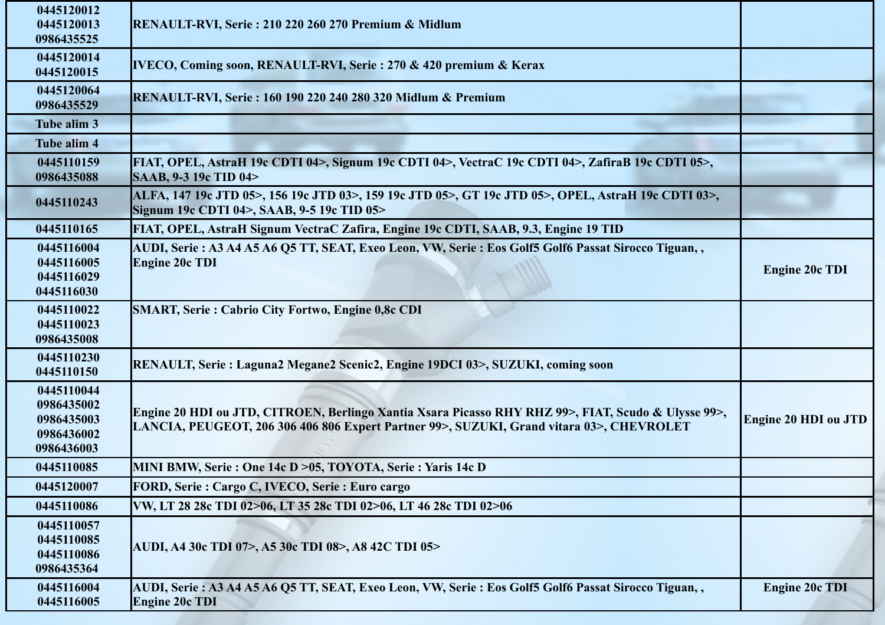| 0445120012<br>0445120013<br>0986435525                             | <b>RENAULT-RVI, Serie: 210 220 260 270 Premium &amp; Midlum</b>                                                                                                                                 |                             |
|--------------------------------------------------------------------|-------------------------------------------------------------------------------------------------------------------------------------------------------------------------------------------------|-----------------------------|
| 0445120014<br>0445120015                                           | <b>IVECO, Coming soon, RENAULT-RVI, Serie : 270 &amp; 420 premium &amp; Kerax</b>                                                                                                               |                             |
| 0445120064<br>0986435529                                           | RENAULT-RVI, Serie: 160 190 220 240 280 320 Midlum & Premium                                                                                                                                    |                             |
| Tube alim 3                                                        |                                                                                                                                                                                                 |                             |
| Tube alim 4                                                        |                                                                                                                                                                                                 |                             |
| 0445110159<br>0986435088                                           | FIAT, OPEL, AstraH 19c CDTI 04>, Signum 19c CDTI 04>, VectraC 19c CDTI 04>, ZafiraB 19c CDTI 05>,<br>SAAB, 9-3 19c TID 04>                                                                      |                             |
| 0445110243                                                         | ALFA, 147 19c JTD 05>, 156 19c JTD 03>, 159 19c JTD 05>, GT 19c JTD 05>, OPEL, AstraH 19c CDTI 03>,<br>Signum 19c CDTI 04>, SAAB, 9-5 19c TID 05>                                               |                             |
| 0445110165                                                         | FIAT, OPEL, AstraH Signum VectraC Zafira, Engine 19c CDTI, SAAB, 9.3, Engine 19 TID                                                                                                             |                             |
| 0445116004<br>0445116005<br>0445116029<br>0445116030               | AUDI, Serie : A3 A4 A5 A6 Q5 TT, SEAT, Exeo Leon, VW, Serie : Eos Golf5 Golf6 Passat Sirocco Tiguan,,<br><b>Engine 20c TDI</b>                                                                  | <b>Engine 20c TDI</b>       |
| 0445110022<br>0445110023<br>0986435008                             | <b>SMART, Serie: Cabrio City Fortwo, Engine 0,8c CDI</b>                                                                                                                                        |                             |
| 0445110230<br>0445110150                                           | <b>RENAULT, Serie : Laguna2 Megane2 Scenic2, Engine 19DCI 03&gt;, SUZUKI, coming soon</b>                                                                                                       |                             |
| 0445110044<br>0986435002<br>0986435003<br>0986436002<br>0986436003 | Engine 20 HDI ou JTD, CITROEN, Berlingo Xantia Xsara Picasso RHY RHZ 99>, FIAT, Scudo & Ulysse 99>,<br>LANCIA, PEUGEOT, 206 306 406 806 Expert Partner 99>, SUZUKI, Grand vitara 03>, CHEVROLET | <b>Engine 20 HDI ou JTD</b> |
| 0445110085                                                         | MINI BMW, Serie : One 14c D >05, TOYOTA, Serie : Yaris 14c D                                                                                                                                    |                             |
| 0445120007                                                         | <b>FORD, Serie: Cargo C, IVECO, Serie: Euro cargo</b>                                                                                                                                           |                             |
| 0445110086                                                         | VW, LT 28 28c TDI 02>06, LT 35 28c TDI 02>06, LT 46 28c TDI 02>06                                                                                                                               |                             |
| 0445110057<br>0445110085<br>0445110086<br>0986435364               | AUDI, A4 30c TDI 07>, A5 30c TDI 08>, A8 42C TDI 05>                                                                                                                                            |                             |
| 0445116004<br>0445116005                                           | AUDI, Serie : A3 A4 A5 A6 Q5 TT, SEAT, Exeo Leon, VW, Serie : Eos Golf5 Golf6 Passat Sirocco Tiguan,,<br><b>Engine 20c TDI</b>                                                                  | <b>Engine 20c TDI</b>       |